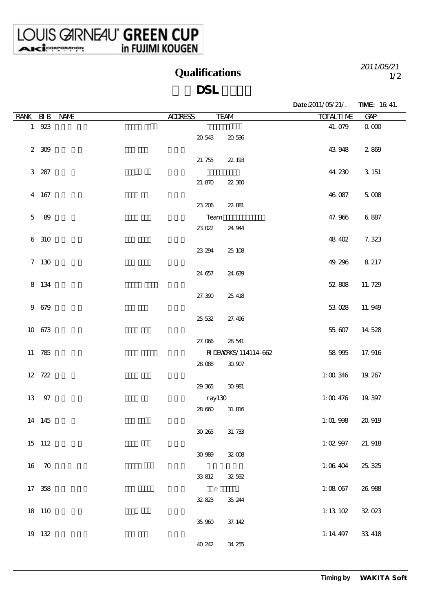LOUIS GIRNEAU<sup>®</sup> GREEN CUP

**Qualifications**

1/2 *2011/05/21*

## **DSL**

|                |           |             |                |                      | Date:2011/05/21/. | <b>TIME:</b> 16 41. |
|----------------|-----------|-------------|----------------|----------------------|-------------------|---------------------|
| RANK BIB       |           | <b>NAME</b> | <b>ALLRESS</b> | <b>TEAM</b>          | <b>TOTALTI ME</b> | GP                  |
|                | 1 923     |             |                |                      | 41.079            | $\alpha$ $\infty$   |
|                |           |             | 20 543         | 20536                |                   |                     |
|                | $2 \t309$ |             |                |                      | 43 948            | 2869                |
|                |           |             | 21.755         | 22 193               |                   |                     |
|                | 3 287     |             |                |                      | 44.230            | 3 1 5 1             |
|                |           |             | 21.870         | 22360                |                   |                     |
|                | 4 167     |             |                |                      | 46 087            | $5 \times 8$        |
|                |           |             | 23 206         | 22881                |                   |                     |
| $\overline{5}$ | 89        |             | Team           |                      | 47.966            | 6887                |
|                |           |             | 23022          | 24 944               |                   |                     |
|                | 6 310     |             |                |                      | 48 402            | 7.323               |
|                |           |             | 23 294         | 25 108               |                   |                     |
|                | 7 130     |             |                |                      | 49.296            | 8 217               |
|                |           |             | 24 657         | 24 639               |                   |                     |
|                | 8 134     |             |                |                      | 52808             | 11.729              |
|                |           |             | 27.390         | 25 418               |                   |                     |
|                | 9 679     |             |                |                      | 53028             | 11.949              |
|                |           |             | 25 532         | 27.496               |                   |                     |
|                | 10 673    |             |                |                      | 55,607            | 14 528              |
|                |           |             | 27.006         | 28 541               |                   |                     |
|                | 11 785    |             |                | RIDENTRKS/114114 662 | 58 995            | 17.916              |
|                |           |             | 28088          | $30\,907$            |                   |                     |
|                | 12 722    |             |                |                      | 1:00346           | 19.267              |
|                |           |             | 29.365         | 30981                |                   |                     |
|                | 13 97     |             |                | ray130               | 1:00476           | 19.397              |
|                |           |             | 28 660         | 31.816               |                   |                     |
|                | 14 145    |             |                |                      | 1:01.998          | 20 919              |
|                |           |             | $30\,265$      | 31.733               |                   |                     |
|                | 15 112    |             |                |                      | 1:0297            | 21.918              |
|                |           |             | $30\,989$      | $32008$              |                   |                     |
|                | 16 70     |             |                |                      | 1:06404           | 25, 325             |
|                |           |             | 33812          | 32.592               |                   |                     |
|                | 17 358    |             |                |                      | 1:08067           | 26 988              |
|                |           |             | 32.823         | 35, 244              |                   |                     |
|                | 18 110    |             |                |                      | 1:13102           | 32.023              |
|                |           |             | $35\,90$       | 37.142               |                   |                     |
|                | 19 132    |             |                |                      | $1:14$ 497        | 33 418              |
|                |           |             | 40 242         | 34.255               |                   |                     |